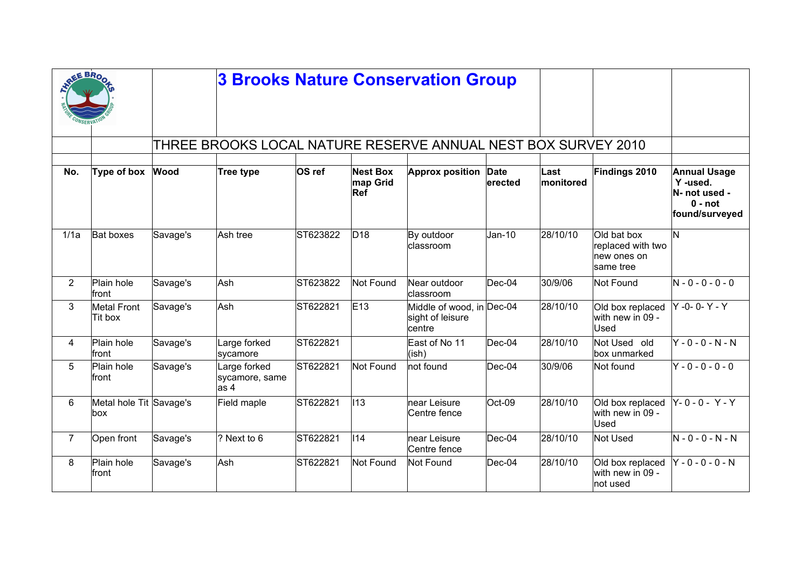|                | EE BRO                         |          |                                                               |          |                                    | <b>3 Brooks Nature Conservation Group</b>               |                        |                   |                                                              |                                                                                |
|----------------|--------------------------------|----------|---------------------------------------------------------------|----------|------------------------------------|---------------------------------------------------------|------------------------|-------------------|--------------------------------------------------------------|--------------------------------------------------------------------------------|
|                |                                |          | THREE BROOKS LOCAL NATURE RESERVE ANNUAL NEST BOX SURVEY 2010 |          |                                    |                                                         |                        |                   |                                                              |                                                                                |
| No.            | Type of box                    | Wood     | Tree type                                                     | OS ref   | <b>Nest Box</b><br>map Grid<br>Ref | <b>Approx position</b>                                  | <b>Date</b><br>erected | Last<br>monitored | Findings 2010                                                | <b>Annual Usage</b><br>Y-used.<br>N- not used -<br>$0 - not$<br>found/surveyed |
| 1/1a           | <b>Bat boxes</b>               | Savage's | Ash tree                                                      | ST623822 | D <sub>18</sub>                    | By outdoor<br>lclassroom                                | $Jan-10$               | 28/10/10          | Old bat box<br>replaced with two<br>new ones on<br>same tree | N                                                                              |
| $\overline{2}$ | Plain hole<br>front            | Savage's | Ash                                                           | ST623822 | Not Found                          | Near outdoor<br>classroom                               | Dec-04                 | 30/9/06           | Not Found                                                    | $N - 0 - 0 - 0 - 0$                                                            |
| 3              | <b>Metal Front</b><br>Tit box  | Savage's | Ash                                                           | ST622821 | E13                                | Middle of wood, in Dec-04<br>sight of leisure<br>centre |                        | 28/10/10          | Old box replaced<br>with new in 09 -<br>Used                 | $Y - 0 - 0 - Y - Y$                                                            |
| 4              | Plain hole<br>front            | Savage's | Large forked<br>sycamore                                      | ST622821 |                                    | East of No 11<br>(ish)                                  | Dec-04                 | 28/10/10          | Not Used old<br>box unmarked                                 | $Y - 0 - 0 - N - N$                                                            |
| 5              | Plain hole<br>front            | Savage's | Large forked<br>sycamore, same<br>$\vert$ as 4                | ST622821 | Not Found                          | not found                                               | Dec-04                 | 30/9/06           | Not found                                                    | $Y - 0 - 0 - 0 - 0$                                                            |
| 6              | Metal hole Tit Savage's<br>box |          | Field maple                                                   | ST622821 | $\parallel$ 13                     | near Leisure<br>Centre fence                            | Oct-09                 | 28/10/10          | Old box replaced<br>with new in 09 -<br>Used                 | Y-0-0-Y-Y                                                                      |
| $\overline{7}$ | Open front                     | Savage's | ? Next to 6                                                   | ST622821 | $\parallel$ 14                     | near Leisure<br>Centre fence                            | Dec-04                 | 28/10/10          | Not Used                                                     | $N - 0 - 0 - N - N$                                                            |
| 8              | Plain hole<br>front            | Savage's | Ash                                                           | ST622821 | Not Found                          | Not Found                                               | Dec-04                 | 28/10/10          | Old box replaced<br>with new in 09 -<br>not used             | Y - 0 - 0 - 0 - N                                                              |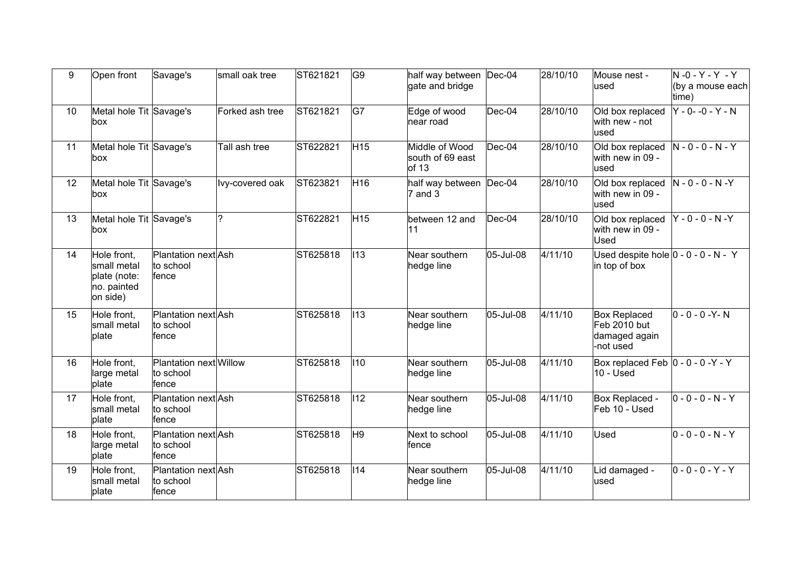| 9  | Open front                                                            | Savage's                                     | small oak tree  | ST621821 | G9              | half way between<br>gate and bridge              | $Dec-04$  | 28/10/10 | Mouse nest -<br>used                                              | $N - 0 - Y - Y - Y$<br>(by a mouse each<br>time) |
|----|-----------------------------------------------------------------------|----------------------------------------------|-----------------|----------|-----------------|--------------------------------------------------|-----------|----------|-------------------------------------------------------------------|--------------------------------------------------|
| 10 | Metal hole Tit Savage's<br>lbox.                                      |                                              | Forked ash tree | ST621821 | G7              | Edge of wood<br>near road                        | Dec-04    | 28/10/10 | Old box replaced<br>with new - not<br>used                        | $Y - 0 - -0 - Y - N$                             |
| 11 | Metal hole Tit Savage's<br>lbox.                                      |                                              | Tall ash tree   | ST622821 | H <sub>15</sub> | Middle of Wood<br>south of 69 east<br>of 13      | Dec-04    | 28/10/10 | Old box replaced<br>with new in 09 -<br>used                      | $N - 0 - 0 - N - Y$                              |
| 12 | Metal hole Tit Savage's<br>box                                        |                                              | lvy-covered oak | ST623821 | H <sub>16</sub> | half way between  Dec-04<br>$ 7 \text{ and } 3 $ |           | 28/10/10 | Old box replaced<br>with new in 09 -<br>used                      | $N - 0 - 0 - N - Y$                              |
| 13 | Metal hole Tit Savage's<br>box                                        |                                              | 2               | ST622821 | H <sub>15</sub> | between 12 and<br> 11                            | Dec-04    | 28/10/10 | Old box replaced<br>with new in 09 -<br>Used                      | $Y - 0 - 0 - N - Y$                              |
| 14 | Hole front,<br>small metal<br>plate (note:<br>no. painted<br>on side) | Plantation next Ash<br>to school<br>fence    |                 | ST625818 | $\vert$ I13     | Near southern<br>hedge line                      | 05-Jul-08 | 4/11/10  | Used despite hole $ 0 - 0 - 0 - N - Y $<br>in top of box          |                                                  |
| 15 | Hole front.<br>small metal<br>plate                                   | Plantation next Ash<br>to school<br>fence    |                 | ST625818 | $\vert$ 113     | Near southern<br>hedge line                      | 05-Jul-08 | 4/11/10  | <b>Box Replaced</b><br>Feb 2010 but<br>damaged again<br>-not used | $ 0 - 0 - 0 - Y - N $                            |
| 16 | Hole front,<br>large metal<br>plate                                   | Plantation next Willow<br>to school<br>fence |                 | ST625818 | $ 110\rangle$   | Near southern<br>hedge line                      | 05-Jul-08 | 4/11/10  | Box replaced Feb $ 0 - 0 - 0 - Y - Y $<br>$10 -$ Used             |                                                  |
| 17 | Hole front,<br>small metal<br>plate                                   | Plantation next Ash<br>to school<br>fence    |                 | ST625818 | $ 112\rangle$   | Near southern<br>hedge line                      | 05-Jul-08 | 4/11/10  | Box Replaced -<br>Feb 10 - Used                                   | $ 0 - 0 - 0 - N - Y $                            |
| 18 | Hole front,<br>large metal<br>plate                                   | Plantation next Ash<br>to school<br>fence    |                 | ST625818 | H9              | Next to school<br>∣fence                         | 05-Jul-08 | 4/11/10  | Used                                                              | $ 0 - 0 - 0 - N - Y $                            |
| 19 | Hole front,<br>small metal<br>plate                                   | Plantation next Ash<br>to school<br>fence    |                 | ST625818 | 114             | Near southern<br>hedge line                      | 05-Jul-08 | 4/11/10  | Lid damaged -<br>used                                             | $ 0 - 0 - 0 - Y - Y $                            |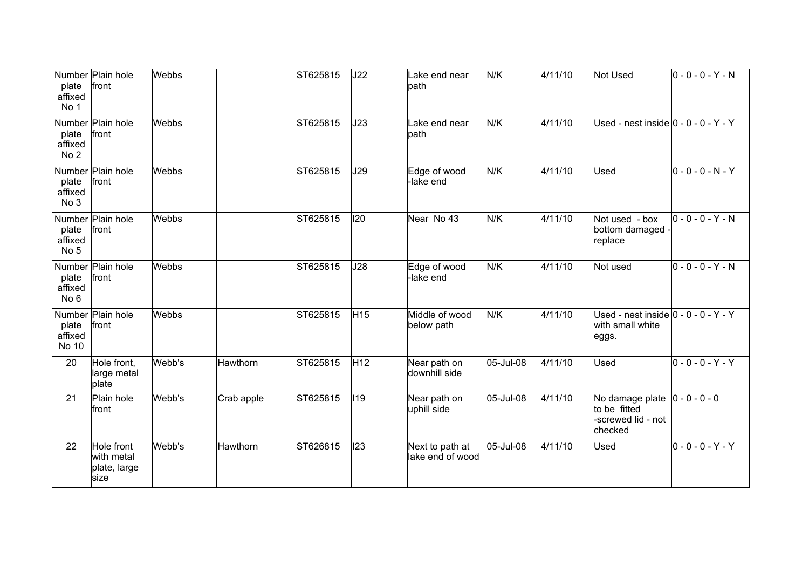| plate<br>affixed<br>No 1            | Number Plain hole<br>front                       | Webbs  |            | ST625815 | J22             | Lake end near<br>path               | N/K       | 4/11/10 | <b>Not Used</b>                                                       | $ 0 - 0 - 0 - Y - N $ |
|-------------------------------------|--------------------------------------------------|--------|------------|----------|-----------------|-------------------------------------|-----------|---------|-----------------------------------------------------------------------|-----------------------|
| plate<br>affixed<br>No <sub>2</sub> | Number Plain hole<br>front                       | Webbs  |            | ST625815 | J23             | Lake end near<br>path               | N/K       | 4/11/10 | Used - nest inside $ 0 - 0 - 0 - Y - Y $                              |                       |
| plate<br>affixed<br>No 3            | Number Plain hole<br>front                       | Webbs  |            | ST625815 | J29             | Edge of wood<br>lake end            | N/K       | 4/11/10 | Used                                                                  | $ 0 - 0 - 0 - N - Y $ |
| plate<br>affixed<br>No <sub>5</sub> | Number Plain hole<br>front                       | Webbs  |            | ST625815 | 120             | Near No 43                          | N/K       | 4/11/10 | Not used - box<br>bottom damaged -<br>replace                         | $ 0 - 0 - 0 - Y - N $ |
| plate<br>affixed<br>No <sub>6</sub> | Number Plain hole<br>front                       | Webbs  |            | ST625815 | J28             | Edge of wood<br>lake end            | N/K       | 4/11/10 | Not used                                                              | $ 0 - 0 - 0 - Y - N $ |
| plate<br>affixed<br>No 10           | Number Plain hole<br>front                       | Webbs  |            | ST625815 | H <sub>15</sub> | Middle of wood<br>below path        | N/K       | 4/11/10 | Used - nest inside $ 0 - 0 - 0 - Y - Y $<br>with small white<br>eggs. |                       |
| 20                                  | Hole front,<br>large metal<br>plate              | Webb's | Hawthorn   | ST625815 | H <sub>12</sub> | Near path on<br>downhill side       | 05-Jul-08 | 4/11/10 | Used                                                                  | $ 0 - 0 - 0 - Y - Y $ |
| 21                                  | Plain hole<br>front                              | Webb's | Crab apple | ST625815 | 119             | Near path on<br>uphill side         | 05-Jul-08 | 4/11/10 | No damage plate<br>to be fitted<br>-screwed lid - not<br>checked      | $ 0 - 0 - 0 - 0 $     |
| 22                                  | Hole front<br>with metal<br>plate, large<br>size | Webb's | Hawthorn   | ST626815 | 123             | Next to path at<br>lake end of wood | 05-Jul-08 | 4/11/10 | Used                                                                  | $ 0 - 0 - 0 - Y - Y $ |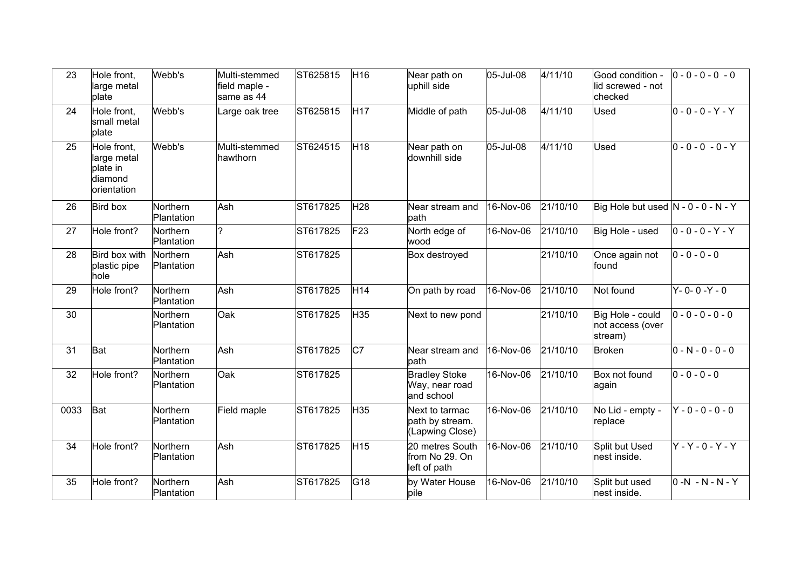| 23   | Hole front,<br>large metal<br>plate                              | Webb's                 | Multi-stemmed<br>field maple -<br>same as 44 | ST625815 | H <sub>16</sub> | Near path on<br>uphill side                          | 05-Jul-08 | 4/11/10  | Good condition -<br>lid screwed - not<br>checked | $ 0 - 0 - 0 - 0 - 0 $ |
|------|------------------------------------------------------------------|------------------------|----------------------------------------------|----------|-----------------|------------------------------------------------------|-----------|----------|--------------------------------------------------|-----------------------|
| 24   | Hole front,<br>small metal<br>plate                              | Webb's                 | Large oak tree                               | ST625815 | H <sub>17</sub> | Middle of path                                       | 05-Jul-08 | 4/11/10  | Used                                             | $ 0 - 0 - 0 - Y - Y $ |
| 25   | Hole front.<br>large metal<br>plate in<br>diamond<br>orientation | Webb's                 | Multi-stemmed<br>hawthorn                    | ST624515 | H <sub>18</sub> | Near path on<br>downhill side                        | 05-Jul-08 | 4/11/10  | Used                                             | $ 0 - 0 - 0 - 0 - Y $ |
| 26   | Bird box                                                         | Northern<br>Plantation | Ash                                          | ST617825 | H28             | Near stream and<br>path                              | 16-Nov-06 | 21/10/10 | Big Hole but used $ N - 0 - 0 - N - Y $          |                       |
| 27   | Hole front?                                                      | Northern<br>Plantation | ?                                            | ST617825 | F23             | North edge of<br>wood                                | 16-Nov-06 | 21/10/10 | Big Hole - used                                  | $ 0 - 0 - 0 - Y - Y $ |
| 28   | Bird box with<br>plastic pipe<br>hole                            | Northern<br>Plantation | Ash                                          | ST617825 |                 | Box destroyed                                        |           | 21/10/10 | Once again not<br>found                          | $ 0 - 0 - 0 - 0 $     |
| 29   | Hole front?                                                      | Northern<br>Plantation | Ash                                          | ST617825 | H <sub>14</sub> | On path by road                                      | 16-Nov-06 | 21/10/10 | Not found                                        | $Y - 0 - 0 - Y - 0$   |
| 30   |                                                                  | Northern<br>Plantation | Oak                                          | ST617825 | H35             | Next to new pond                                     |           | 21/10/10 | Big Hole - could<br>not access (over<br>stream)  | $ 0 - 0 - 0 - 0 - 0 $ |
| 31   | Bat                                                              | Northern<br>Plantation | Ash                                          | ST617825 | $ _{C7}$        | Near stream and<br>path                              | 16-Nov-06 | 21/10/10 | Broken                                           | $ 0 - N - 0 - 0 - 0 $ |
| 32   | Hole front?                                                      | Northern<br>Plantation | Oak                                          | ST617825 |                 | <b>Bradley Stoke</b><br>Way, near road<br>and school | 16-Nov-06 | 21/10/10 | Box not found<br>∣again                          | $ 0 - 0 - 0 - 0 $     |
| 0033 | Bat                                                              | Northern<br>Plantation | Field maple                                  | ST617825 | H35             | Next to tarmac<br>path by stream.<br>(Lapwing Close) | 16-Nov-06 | 21/10/10 | No Lid - empty -<br>replace                      | $Y - 0 - 0 - 0 - 0$   |
| 34   | Hole front?                                                      | Northern<br>Plantation | Ash                                          | ST617825 | H <sub>15</sub> | 20 metres South<br>from No 29. On<br>left of path    | 16-Nov-06 | 21/10/10 | Split but Used<br>nest inside.                   | $Y - Y - 0 - Y - Y$   |
| 35   | Hole front?                                                      | Northern<br>Plantation | Ash                                          | ST617825 | G18             | by Water House<br>pile                               | 16-Nov-06 | 21/10/10 | Split but used<br>nest inside.                   | $ 0 - N - N - N - Y $ |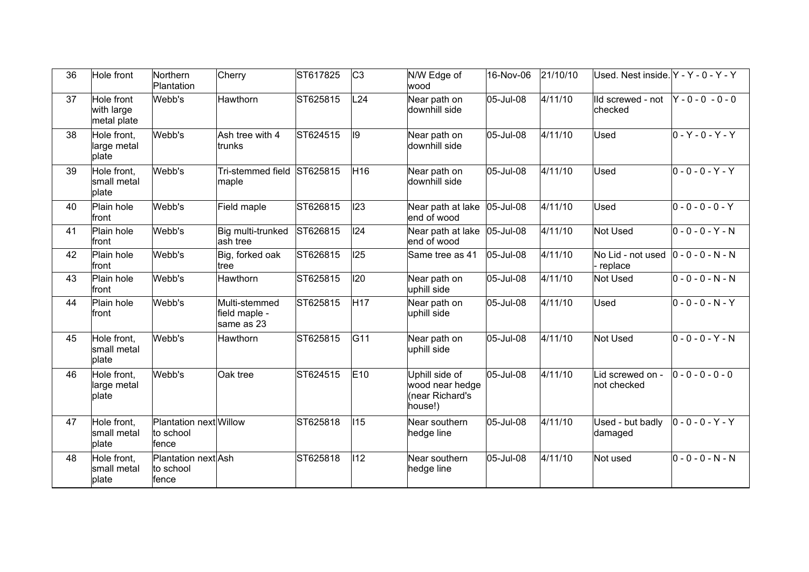| 36 | Hole front                              | Northern<br>Plantation                       | Cherry                                       | ST617825 | C <sub>3</sub>  | N/W Edge of<br>wood                                             | 16-Nov-06 | 21/10/10 | Used. Nest inside. Y - Y - 0 - Y - Y |                       |
|----|-----------------------------------------|----------------------------------------------|----------------------------------------------|----------|-----------------|-----------------------------------------------------------------|-----------|----------|--------------------------------------|-----------------------|
| 37 | Hole front<br>with large<br>metal plate | Webb's                                       | Hawthorn                                     | ST625815 | L24             | Near path on<br>downhill side                                   | 05-Jul-08 | 4/11/10  | IId screwed - not<br>checked         | $Y - 0 - 0 - 0 - 0$   |
| 38 | Hole front,<br>large metal<br>plate     | Webb's                                       | Ash tree with 4<br>trunks                    | ST624515 | 19              | Near path on<br>downhill side                                   | 05-Jul-08 | 4/11/10  | Used                                 | $ 0 - Y - 0 - Y - Y $ |
| 39 | Hole front,<br>small metal<br>plate     | Webb's                                       | Tri-stemmed field ST625815<br>maple          |          | H16             | Near path on<br>downhill side                                   | 05-Jul-08 | 4/11/10  | Used                                 | $0 - 0 - 0 - Y - Y$   |
| 40 | Plain hole<br>front                     | Webb's                                       | Field maple                                  | ST626815 | 123             | Near path at lake<br>lend of wood                               | 05-Jul-08 | 4/11/10  | Used                                 | $0 - 0 - 0 - 0 - Y$   |
| 41 | Plain hole<br>front                     | Webb's                                       | Big multi-trunked<br>ash tree                | ST626815 | 124             | Near path at lake 05-Jul-08<br>end of wood                      |           | 4/11/10  | Not Used                             | $ 0 - 0 - 0 - Y - N $ |
| 42 | Plain hole<br>front                     | Webb's                                       | Big, forked oak<br>tree                      | ST626815 | 125             | Same tree as 41                                                 | 05-Jul-08 | 4/11/10  | No Lid - not used<br>replace         | $ 0 - 0 - 0 - N - N $ |
| 43 | Plain hole<br>lfront                    | Webb's                                       | Hawthorn                                     | ST625815 | 120             | Near path on<br>uphill side                                     | 05-Jul-08 | 4/11/10  | Not Used                             | $0 - 0 - 0 - N - N$   |
| 44 | Plain hole<br>lfront                    | Webb's                                       | Multi-stemmed<br>field maple -<br>same as 23 | ST625815 | H <sub>17</sub> | Near path on<br>uphill side                                     | 05-Jul-08 | 4/11/10  | Used                                 | $ 0 - 0 - 0 - N - Y $ |
| 45 | Hole front.<br>small metal<br>plate     | Webb's                                       | Hawthorn                                     | ST625815 | G11             | Near path on<br>uphill side                                     | 05-Jul-08 | 4/11/10  | Not Used                             | $0 - 0 - 0 - Y - N$   |
| 46 | Hole front.<br>large metal<br>plate     | Webb's                                       | Oak tree                                     | ST624515 | E10             | Uphill side of<br>wood near hedge<br>(near Richard's<br>house!) | 05-Jul-08 | 4/11/10  | Lid screwed on -<br>not checked      | $0 - 0 - 0 - 0 - 0$   |
| 47 | Hole front,<br>small metal<br>plate     | Plantation next Willow<br>to school<br>fence |                                              | ST625818 | 115             | Near southern<br>hedge line                                     | 05-Jul-08 | 4/11/10  | Used - but badly<br>damaged          | $ 0 - 0 - 0 - Y - Y $ |
| 48 | Hole front,<br>small metal<br>plate     | Plantation next Ash<br>to school<br>fence    |                                              | ST625818 | $ 112\rangle$   | Near southern<br>hedge line                                     | 05-Jul-08 | 4/11/10  | Not used                             | $0 - 0 - 0 - N - N$   |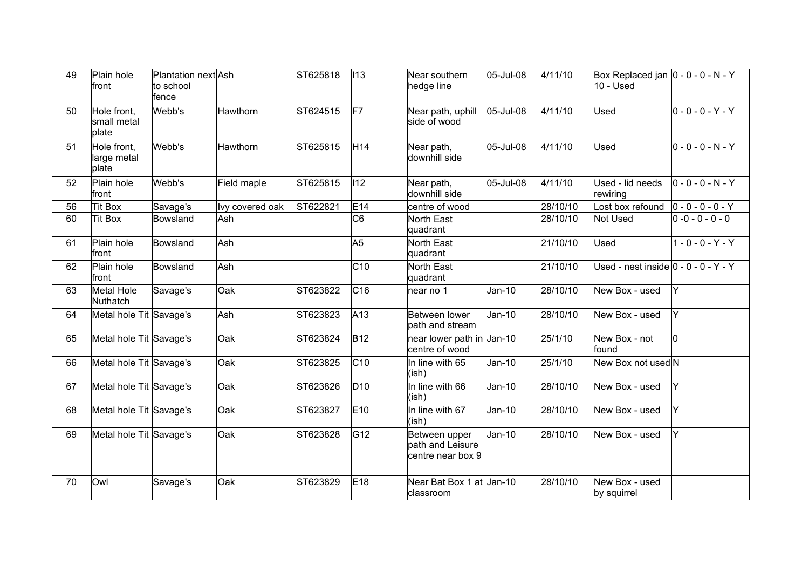| 49 | Plain hole<br>front                 | Plantation next Ash<br>to school<br>fence |                 | ST625818 | $ 113\rangle$   | Near southern<br>hedge line                            | 05-Jul-08 | 4/11/10  | Box Replaced jan $ 0 - 0 - 0 - N - Y $<br>$10 -$ Used |                       |
|----|-------------------------------------|-------------------------------------------|-----------------|----------|-----------------|--------------------------------------------------------|-----------|----------|-------------------------------------------------------|-----------------------|
| 50 | Hole front,<br>small metal<br>plate | Webb's                                    | Hawthorn        | ST624515 | F7              | Near path, uphill<br>side of wood                      | 05-Jul-08 | 4/11/10  | Used                                                  | $0 - 0 - 0 - Y - Y$   |
| 51 | Hole front,<br>large metal<br>plate | Webb's                                    | Hawthorn        | ST625815 | H <sub>14</sub> | Near path,<br>downhill side                            | 05-Jul-08 | 4/11/10  | Used                                                  | $0 - 0 - 0 - N - Y$   |
| 52 | Plain hole<br>front                 | Webb's                                    | Field maple     | ST625815 | $ 112\rangle$   | Near path,<br>downhill side                            | 05-Jul-08 | 4/11/10  | Used - lid needs<br>rewiring                          | $ 0 - 0 - 0 - N - Y $ |
| 56 | <b>Tit Box</b>                      | Savage's                                  | Ivy covered oak | ST622821 | E14             | centre of wood                                         |           | 28/10/10 | Lost box refound                                      | $ 0 - 0 - 0 - 0 - Y $ |
| 60 | <b>Tit Box</b>                      | Bowsland                                  | Ash             |          | C6              | North East<br>quadrant                                 |           | 28/10/10 | Not Used                                              | $0 - 0 - 0 - 0 - 0$   |
| 61 | Plain hole<br>front                 | Bowsland                                  | Ash             |          | A <sub>5</sub>  | North East<br>quadrant                                 |           | 21/10/10 | <b>Used</b>                                           | $1 - 0 - 0 - Y - Y$   |
| 62 | Plain hole<br>front                 | Bowsland                                  | Ash             |          | C10             | North East<br>quadrant                                 |           | 21/10/10 | Used - nest inside $ 0 - 0 - 0 - Y - Y $              |                       |
| 63 | Metal Hole<br>Nuthatch              | Savage's                                  | Oak             | ST623822 | C16             | near no 1                                              | Jan-10    | 28/10/10 | New Box - used                                        | lY.                   |
| 64 | Metal hole Tit Savage's             |                                           | Ash             | ST623823 | A <sub>13</sub> | Between lower<br>path and stream                       | $Jan-10$  | 28/10/10 | New Box - used                                        | lY.                   |
| 65 | Metal hole Tit Savage's             |                                           | Oak             | ST623824 | <b>B12</b>      | near lower path in Jan-10<br>centre of wood            |           | 25/1/10  | New Box - not<br>found                                | l0.                   |
| 66 | Metal hole Tit Savage's             |                                           | Oak             | ST623825 | $ C10\rangle$   | In line with 65<br>(ish)                               | Jan-10    | 25/1/10  | New Box not used N                                    |                       |
| 67 | Metal hole Tit Savage's             |                                           | Oak             | ST623826 | D <sub>10</sub> | In line with 66<br>(ish)                               | Jan-10    | 28/10/10 | New Box - used                                        | lY.                   |
| 68 | Metal hole Tit Savage's             |                                           | Oak             | ST623827 | E10             | In line with 67<br>(ish)                               | Jan-10    | 28/10/10 | New Box - used                                        | Y                     |
| 69 | Metal hole Tit Savage's             |                                           | Oak             | ST623828 | G12             | Between upper<br>path and Leisure<br>centre near box 9 | $Jan-10$  | 28/10/10 | New Box - used                                        | Y.                    |
| 70 | Owl                                 | Savage's                                  | Oak             | ST623829 | E18             | Near Bat Box 1 at Jan-10<br>classroom                  |           | 28/10/10 | New Box - used<br>by squirrel                         |                       |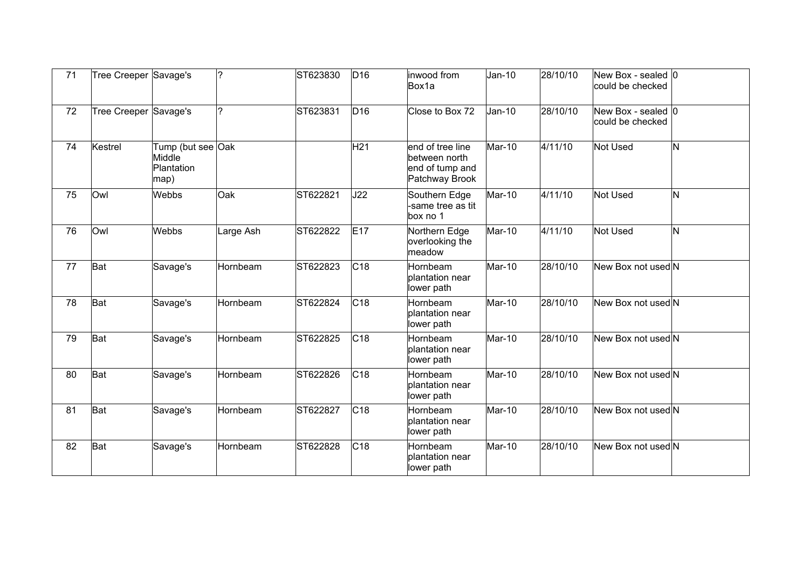| 71 | Tree Creeper Savage's |                                                   | 2         | ST623830 | D16             | inwood from<br>Box1a                                                   | $Jan-10$ | 28/10/10 | New Box - sealed 0<br>could be checked           |   |
|----|-----------------------|---------------------------------------------------|-----------|----------|-----------------|------------------------------------------------------------------------|----------|----------|--------------------------------------------------|---|
| 72 | Tree Creeper Savage's |                                                   | ?         | ST623831 | D <sub>16</sub> | Close to Box 72                                                        | Jan-10   | 28/10/10 | New Box - sealed $ 0\rangle$<br>could be checked |   |
| 74 | Kestrel               | Tump (but see Oak<br>Middle<br>Plantation<br>map) |           |          | H <sub>21</sub> | end of tree line<br>between north<br>end of tump and<br>Patchway Brook | Mar-10   | 4/11/10  | Not Used                                         | N |
| 75 | Owl                   | Webbs                                             | Oak       | ST622821 | J22             | Southern Edge<br>same tree as tit<br>box no 1                          | Mar-10   | 4/11/10  | Not Used                                         | N |
| 76 | Owl                   | Webbs                                             | Large Ash | ST622822 | E17             | Northern Edge<br>overlooking the<br>meadow                             | Mar-10   | 4/11/10  | Not Used                                         | N |
| 77 | Bat                   | Savage's                                          | Hornbeam  | ST622823 | C18             | Hornbeam<br>plantation near<br>lower path                              | Mar-10   | 28/10/10 | New Box not used N                               |   |
| 78 | Bat                   | Savage's                                          | Hornbeam  | ST622824 | C <sub>18</sub> | Hornbeam<br>plantation near<br>lower path                              | Mar-10   | 28/10/10 | New Box not used N                               |   |
| 79 | Bat                   | Savage's                                          | Hornbeam  | ST622825 | C <sub>18</sub> | <b>Hornbeam</b><br>plantation near<br>lower path                       | Mar-10   | 28/10/10 | New Box not used N                               |   |
| 80 | Bat                   | Savage's                                          | Hornbeam  | ST622826 | C18             | <b>Hornbeam</b><br>plantation near<br>lower path                       | Mar-10   | 28/10/10 | New Box not used N                               |   |
| 81 | Bat                   | Savage's                                          | Hornbeam  | ST622827 | C <sub>18</sub> | Hornbeam<br>plantation near<br>lower path                              | Mar-10   | 28/10/10 | New Box not used N                               |   |
| 82 | Bat                   | Savage's                                          | Hornbeam  | ST622828 | C18             | Hornbeam<br>plantation near<br>lower path                              | Mar-10   | 28/10/10 | New Box not used N                               |   |